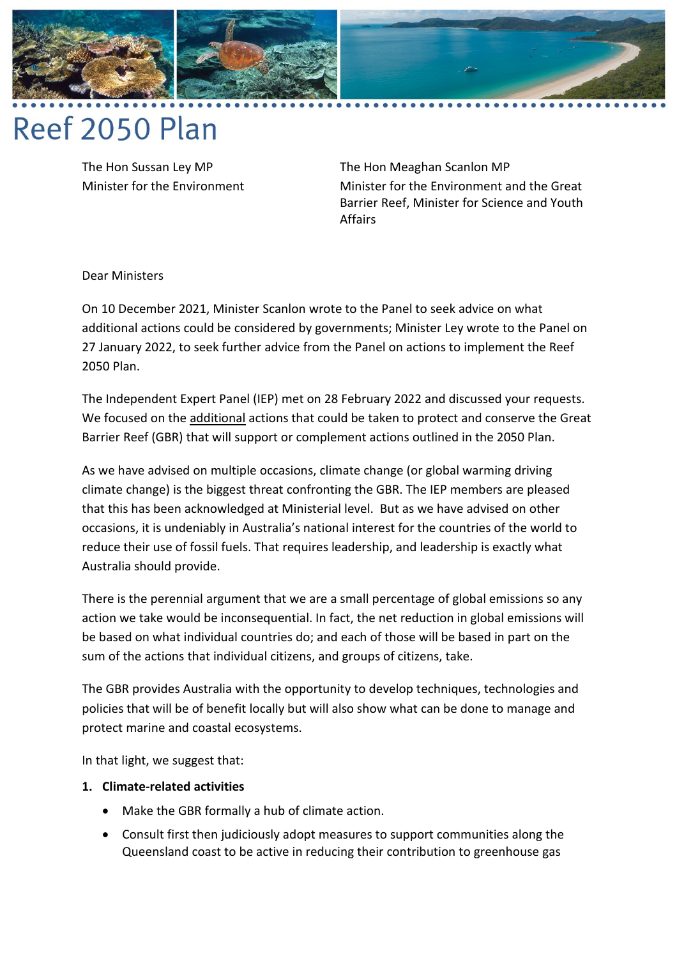

# Reef 2050 Plan

The Hon Sussan Ley MP Minister for the Environment The Hon Meaghan Scanlon MP Minister for the Environment and the Great Barrier Reef, Minister for Science and Youth Affairs

Dear Ministers

On 10 December 2021, Minister Scanlon wrote to the Panel to seek advice on what additional actions could be considered by governments; Minister Ley wrote to the Panel on 27 January 2022, to seek further advice from the Panel on actions to implement the Reef 2050 Plan.

The Independent Expert Panel (IEP) met on 28 February 2022 and discussed your requests. We focused on the additional actions that could be taken to protect and conserve the Great Barrier Reef (GBR) that will support or complement actions outlined in the 2050 Plan.

As we have advised on multiple occasions, climate change (or global warming driving climate change) is the biggest threat confronting the GBR. The IEP members are pleased that this has been acknowledged at Ministerial level. But as we have advised on other occasions, it is undeniably in Australia's national interest for the countries of the world to reduce their use of fossil fuels. That requires leadership, and leadership is exactly what Australia should provide.

There is the perennial argument that we are a small percentage of global emissions so any action we take would be inconsequential. In fact, the net reduction in global emissions will be based on what individual countries do; and each of those will be based in part on the sum of the actions that individual citizens, and groups of citizens, take.

The GBR provides Australia with the opportunity to develop techniques, technologies and policies that will be of benefit locally but will also show what can be done to manage and protect marine and coastal ecosystems.

In that light, we suggest that:

### **1. Climate-related activities**

- Make the GBR formally a hub of climate action.
- Consult first then judiciously adopt measures to support communities along the Queensland coast to be active in reducing their contribution to greenhouse gas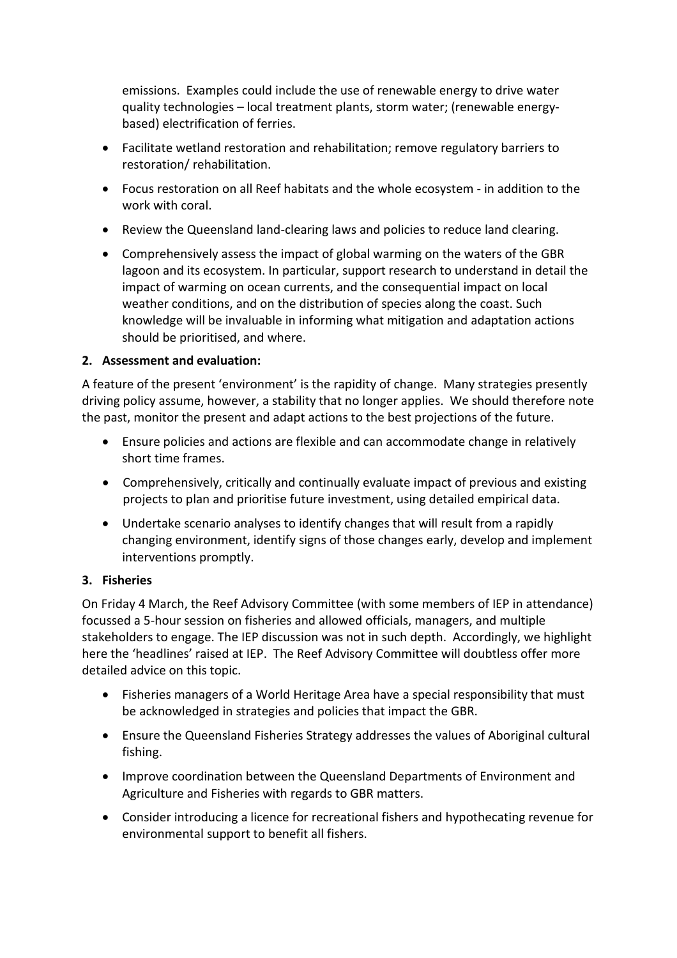emissions. Examples could include the use of renewable energy to drive water quality technologies – local treatment plants, storm water; (renewable energybased) electrification of ferries.

- Facilitate wetland restoration and rehabilitation; remove regulatory barriers to restoration/ rehabilitation.
- Focus restoration on all Reef habitats and the whole ecosystem in addition to the work with coral.
- Review the Queensland land-clearing laws and policies to reduce land clearing.
- Comprehensively assess the impact of global warming on the waters of the GBR lagoon and its ecosystem. In particular, support research to understand in detail the impact of warming on ocean currents, and the consequential impact on local weather conditions, and on the distribution of species along the coast. Such knowledge will be invaluable in informing what mitigation and adaptation actions should be prioritised, and where.

## **2. Assessment and evaluation:**

A feature of the present 'environment' is the rapidity of change. Many strategies presently driving policy assume, however, a stability that no longer applies. We should therefore note the past, monitor the present and adapt actions to the best projections of the future.

- Ensure policies and actions are flexible and can accommodate change in relatively short time frames.
- Comprehensively, critically and continually evaluate impact of previous and existing projects to plan and prioritise future investment, using detailed empirical data.
- Undertake scenario analyses to identify changes that will result from a rapidly changing environment, identify signs of those changes early, develop and implement interventions promptly.

### **3. Fisheries**

On Friday 4 March, the Reef Advisory Committee (with some members of IEP in attendance) focussed a 5-hour session on fisheries and allowed officials, managers, and multiple stakeholders to engage. The IEP discussion was not in such depth. Accordingly, we highlight here the 'headlines' raised at IEP. The Reef Advisory Committee will doubtless offer more detailed advice on this topic.

- Fisheries managers of a World Heritage Area have a special responsibility that must be acknowledged in strategies and policies that impact the GBR.
- Ensure the Queensland Fisheries Strategy addresses the values of Aboriginal cultural fishing.
- Improve coordination between the Queensland Departments of Environment and Agriculture and Fisheries with regards to GBR matters.
- Consider introducing a licence for recreational fishers and hypothecating revenue for environmental support to benefit all fishers.